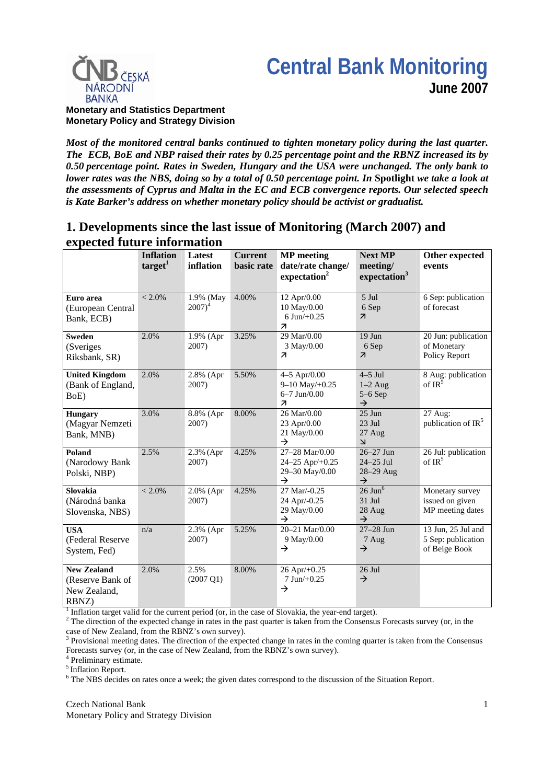# **Central Bank Monitoring June 2007**



**Monetary and Statistics Department Monetary Policy and Strategy Division**

*Most of the monitored central banks continued to tighten monetary policy during the last quarter. The ECB, BoE and NBP raised their rates by 0.25 percentage point and the RBNZ increased its by 0.50 percentage point. Rates in Sweden, Hungary and the USA were unchanged. The only bank to lower rates was the NBS, doing so by a total of 0.50 percentage point. In Spotlight we take a look at the assessments of Cyprus and Malta in the EC and ECB convergence reports. Our selected speech is Kate Barker's address on whether monetary policy should be activist or gradualist.*

# **1. Developments since the last issue of Monitoring (March 2007) and expected future information**

|                                                                 | <b>Inflation</b><br>target <sup>1</sup> | Latest<br>inflation         | <b>Current</b><br>basic rate | <b>MP</b> meeting<br>date/rate change/<br>expectation <sup>2</sup>                    | <b>Next MP</b><br>meeting/<br>expectation <sup>3</sup>    | Other expected<br>events                                  |
|-----------------------------------------------------------------|-----------------------------------------|-----------------------------|------------------------------|---------------------------------------------------------------------------------------|-----------------------------------------------------------|-----------------------------------------------------------|
| Euro area<br>(European Central<br>Bank, ECB)                    | $< 2.0\%$                               | 1.9% (May<br>$2007)^4$      | 4.00%                        | 12 Apr/0.00<br>10 May/0.00<br>6 Jun $/+0.25$<br>$\overline{\mathbf{z}}$               | 5 Jul<br>6 Sep<br>$\overline{\mathbf{z}}$                 | 6 Sep: publication<br>of forecast                         |
| <b>Sweden</b><br>(Sveriges)<br>Riksbank, SR)                    | 2.0%                                    | 1.9% (Apr<br>2007)          | 3.25%                        | 29 Mar/0.00<br>3 May/0.00<br>$\overline{\mathcal{A}}$                                 | $19$ Jun<br>6 Sep<br>$\overline{\mathcal{A}}$             | 20 Jun: publication<br>of Monetary<br>Policy Report       |
| <b>United Kingdom</b><br>(Bank of England,<br>BoE)              | 2.0%                                    | 2.8% (Apr<br>2007)          | 5.50%                        | $4 - 5$ Apr/0.00<br>$9 - 10$ May/+0.25<br>$6 - 7$ Jun/0.00<br>$\overline{\mathbf{z}}$ | $4-5$ Jul<br>$1-2$ Aug<br>$5-6$ Sep<br>$\rightarrow$      | 8 Aug: publication<br>of $IR^{\bar{5}}$                   |
| <b>Hungary</b><br>(Magyar Nemzeti<br>Bank, MNB)                 | 3.0%                                    | 8.8% (Apr<br>2007)          | 8.00%                        | 26 Mar/0.00<br>23 Apr/0.00<br>21 May/0.00<br>$\rightarrow$                            | $25$ Jun<br>$23$ Jul<br>27 Aug<br>$\overline{\mathsf{K}}$ | 27 Aug:<br>publication of IR <sup>5</sup>                 |
| Poland<br>(Narodowy Bank<br>Polski, NBP)                        | 2.5%                                    | 2.3% (Apr<br>2007)          | 4.25%                        | 27-28 Mar/0.00<br>24-25 Apr/+0.25<br>29-30 May/0.00<br>$\rightarrow$                  | 26-27 Jun<br>$24 - 25$ Jul<br>28-29 Aug<br>$\rightarrow$  | 26 Jul: publication<br>of $IR^5$                          |
| <b>Slovakia</b><br>(Národná banka<br>Slovenska, NBS)            | $< 2.0\%$                               | $2.0\%$ (Apr<br>2007)       | 4.25%                        | 27 Mar/-0.25<br>24 Apr/-0.25<br>29 May/0.00<br>$\rightarrow$                          | $26$ Jun $6$<br>$31$ Jul<br>28 Aug<br>$\rightarrow$       | Monetary survey<br>issued on given<br>MP meeting dates    |
| <b>USA</b><br>(Federal Reserve<br>System, Fed)                  | n/a                                     | $2.3\%$ (Apr<br>2007)       | 5.25%                        | 20-21 Mar/0.00<br>9 May/0.00<br>$\rightarrow$                                         | $27 - 28$ Jun<br>7 Aug<br>$\rightarrow$                   | 13 Jun, 25 Jul and<br>5 Sep: publication<br>of Beige Book |
| <b>New Zealand</b><br>(Reserve Bank of<br>New Zealand,<br>RBNZ) | 2.0%                                    | 2.5%<br>$(2007 \text{ Q1})$ | 8.00%                        | $26$ Apr/+ $0.25$<br>$7$ Jun $/+0.25$<br>$\rightarrow$                                | $26$ Jul<br>$\rightarrow$                                 |                                                           |

 $<sup>1</sup>$  Inflation target valid for the current period (or, in the case of Slovakia, the year-end target).</sup>

 $2<sup>2</sup>$  The direction of the expected change in rates in the past quarter is taken from the Consensus Forecasts survey (or, in the case of New Zealand, from the RBNZ's own survey).

<sup>3</sup> Provisional meeting dates. The direction of the expected change in rates in the coming quarter is taken from the Consensus Forecasts survey (or, in the case of New Zealand, from the RBNZ's own survey).

4 Preliminary estimate.

5 Inflation Report.

<sup>6</sup> The NBS decides on rates once a week; the given dates correspond to the discussion of the Situation Report.

Czech National Bank Monetary Policy and Strategy Division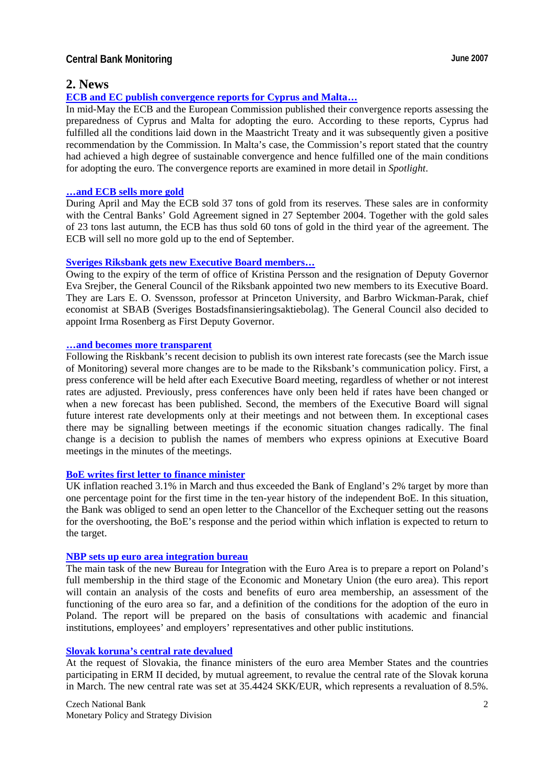## **2. News**

#### **[ECB and EC publish convergence reports for Cyprus and Malta](http://www.ecb.int/pub/pdf/conrep/cr200705en.pdf)…**

In mid-May the ECB and the European Commission published their convergence reports assessing the preparedness of Cyprus and Malta for adopting the euro. According to these reports, Cyprus had fulfilled all the conditions laid down in the Maastricht Treaty and it was subsequently given a positive recommendation by the Commission. In Malta's case, the Commission's report stated that the country had achieved a high degree of sustainable convergence and hence fulfilled one of the main conditions for adopting the euro. The convergence reports are examined in more detail in *Spotlight*.

#### **…[and ECB sells more gold](http://www.ecb.int/press/pr/date/2007/html/pr070601.en.html)**

During April and May the ECB sold 37 tons of gold from its reserves. These sales are in conformity with the Central Banks' Gold Agreement signed in 27 September 2004. Together with the gold sales of 23 tons last autumn, the ECB has thus sold 60 tons of gold in the third year of the agreement. The ECB will sell no more gold up to the end of September.

#### **[Sveriges Riksbank gets new Executive Board members](http://www.riksbank.com/templates/Page.aspx?id=24605)…**

Owing to the expiry of the term of office of Kristina Persson and the resignation of Deputy Governor Eva Srejber, the General Council of the Riksbank appointed two new members to its Executive Board. They are Lars E. O. Svensson, professor at Princeton University, and Barbro Wickman-Parak, chief economist at SBAB (Sveriges Bostadsfinansieringsaktiebolag). The General Council also decided to appoint Irma Rosenberg as First Deputy Governor.

#### **…[and becomes more transparent](http://www.riksbank.com/pagefolders/30388/pp_communication.pdf)**

Following the Riskbank's recent decision to publish its own interest rate forecasts (see the March issue of Monitoring) several more changes are to be made to the Riksbank's communication policy. First, a press conference will be held after each Executive Board meeting, regardless of whether or not interest rates are adjusted. Previously, press conferences have only been held if rates have been changed or when a new forecast has been published. Second, the members of the Executive Board will signal future interest rate developments only at their meetings and not between them. In exceptional cases there may be signalling between meetings if the economic situation changes radically. The final change is a decision to publish the names of members who express opinions at Executive Board meetings in the minutes of the meetings.

#### **[BoE writes first letter to finance minister](http://www.bankofengland.co.uk/monetarypolicy/pdf/cpiletter070417.pdf)**

UK inflation reached 3.1% in March and thus exceeded the Bank of England's 2% target by more than one percentage point for the first time in the ten-year history of the independent BoE. In this situation, the Bank was obliged to send an open letter to the Chancellor of the Exchequer setting out the reasons for the overshooting, the BoE's response and the period within which inflation is expected to return to the target.

#### **[NBP sets up euro area integration bureau](http://www.nbp.pl/Homen.aspx?f=/en/aktualnosci/2007/biseen.html)**

The main task of the new Bureau for Integration with the Euro Area is to prepare a report on Poland's full membership in the third stage of the Economic and Monetary Union (the euro area). This report will contain an analysis of the costs and benefits of euro area membership, an assessment of the functioning of the euro area so far, and a definition of the conditions for the adoption of the euro in Poland. The report will be prepared on the basis of consultations with academic and financial institutions, employees' and employers' representatives and other public institutions.

#### **[Slovak koruna's central rate devalued](http://www.ecb.int/press/pr/date/2007/html/pr070316.en.html)**

At the request of Slovakia, the finance ministers of the euro area Member States and the countries participating in ERM II decided, by mutual agreement, to revalue the central rate of the Slovak koruna in March. The new central rate was set at 35.4424 SKK/EUR, which represents a revaluation of 8.5%.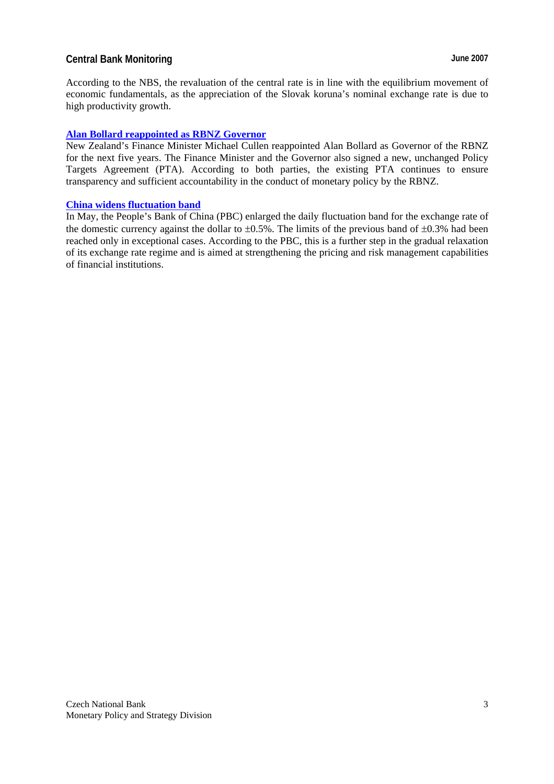According to the NBS, the revaluation of the central rate is in line with the equilibrium movement of economic fundamentals, as the appreciation of the Slovak koruna's nominal exchange rate is due to high productivity growth.

## **[Alan Bollard reappointed as RBNZ Governor](http://www.rbnz.govt.nz/news/2007/3024964.html)**

New Zealand's Finance Minister Michael Cullen reappointed Alan Bollard as Governor of the RBNZ for the next five years. The Finance Minister and the Governor also signed a new, unchanged Policy Targets Agreement (PTA). According to both parties, the existing PTA continues to ensure transparency and sufficient accountability in the conduct of monetary policy by the RBNZ.

## **[China widens fluctuation band](http://www.pbc.gov.cn/english/detail.asp?col=6400&id=837)**

In May, the People's Bank of China (PBC) enlarged the daily fluctuation band for the exchange rate of the domestic currency against the dollar to  $\pm 0.5$ %. The limits of the previous band of  $\pm 0.3$ % had been reached only in exceptional cases. According to the PBC, this is a further step in the gradual relaxation of its exchange rate regime and is aimed at strengthening the pricing and risk management capabilities of financial institutions.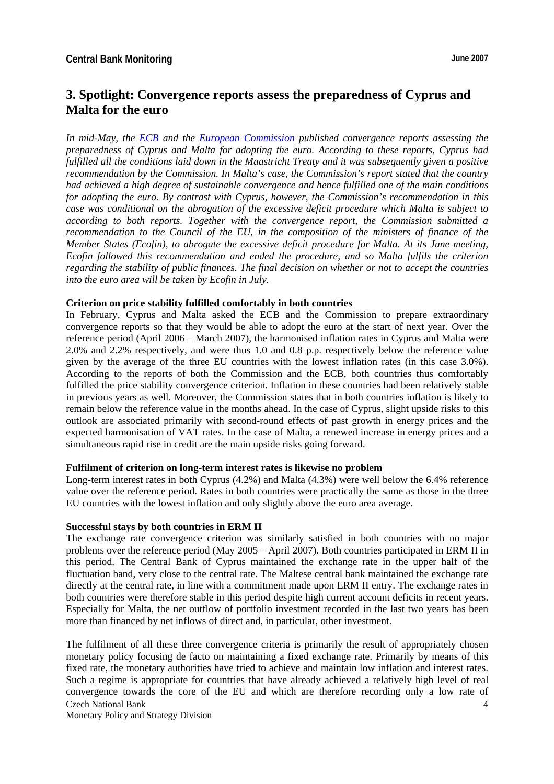# **3. Spotlight: Convergence reports assess the preparedness of Cyprus and Malta for the euro**

*In mid-May, the [ECB](http://www.ecb.int/pub/pdf/conrep/cr200705en.pdf) and the [European Commission](http://ec.europa.eu/economy_finance/publications/convergence/2007/report2007_cyprus_en.htm) published convergence reports assessing the preparedness of Cyprus and Malta for adopting the euro. According to these reports, Cyprus had fulfilled all the conditions laid down in the Maastricht Treaty and it was subsequently given a positive recommendation by the Commission. In Malta's case, the Commission's report stated that the country had achieved a high degree of sustainable convergence and hence fulfilled one of the main conditions for adopting the euro. By contrast with Cyprus, however, the Commission's recommendation in this case was conditional on the abrogation of the excessive deficit procedure which Malta is subject to according to both reports. Together with the convergence report, the Commission submitted a recommendation to the Council of the EU, in the composition of the ministers of finance of the Member States (Ecofin), to abrogate the excessive deficit procedure for Malta. At its June meeting, Ecofin followed this recommendation and ended the procedure, and so Malta fulfils the criterion regarding the stability of public finances. The final decision on whether or not to accept the countries into the euro area will be taken by Ecofin in July.* 

#### **Criterion on price stability fulfilled comfortably in both countries**

In February, Cyprus and Malta asked the ECB and the Commission to prepare extraordinary convergence reports so that they would be able to adopt the euro at the start of next year. Over the reference period (April 2006 – March 2007), the harmonised inflation rates in Cyprus and Malta were 2.0% and 2.2% respectively, and were thus 1.0 and 0.8 p.p. respectively below the reference value given by the average of the three EU countries with the lowest inflation rates (in this case 3.0%). According to the reports of both the Commission and the ECB, both countries thus comfortably fulfilled the price stability convergence criterion. Inflation in these countries had been relatively stable in previous years as well. Moreover, the Commission states that in both countries inflation is likely to remain below the reference value in the months ahead. In the case of Cyprus, slight upside risks to this outlook are associated primarily with second-round effects of past growth in energy prices and the expected harmonisation of VAT rates. In the case of Malta, a renewed increase in energy prices and a simultaneous rapid rise in credit are the main upside risks going forward.

#### **Fulfilment of criterion on long-term interest rates is likewise no problem**

Long-term interest rates in both Cyprus (4.2%) and Malta (4.3%) were well below the 6.4% reference value over the reference period. Rates in both countries were practically the same as those in the three EU countries with the lowest inflation and only slightly above the euro area average.

#### **Successful stays by both countries in ERM II**

The exchange rate convergence criterion was similarly satisfied in both countries with no major problems over the reference period (May 2005 – April 2007). Both countries participated in ERM II in this period. The Central Bank of Cyprus maintained the exchange rate in the upper half of the fluctuation band, very close to the central rate. The Maltese central bank maintained the exchange rate directly at the central rate, in line with a commitment made upon ERM II entry. The exchange rates in both countries were therefore stable in this period despite high current account deficits in recent years. Especially for Malta, the net outflow of portfolio investment recorded in the last two years has been more than financed by net inflows of direct and, in particular, other investment.

Czech National Bank 4 The fulfilment of all these three convergence criteria is primarily the result of appropriately chosen monetary policy focusing de facto on maintaining a fixed exchange rate. Primarily by means of this fixed rate, the monetary authorities have tried to achieve and maintain low inflation and interest rates. Such a regime is appropriate for countries that have already achieved a relatively high level of real convergence towards the core of the EU and which are therefore recording only a low rate of

Monetary Policy and Strategy Division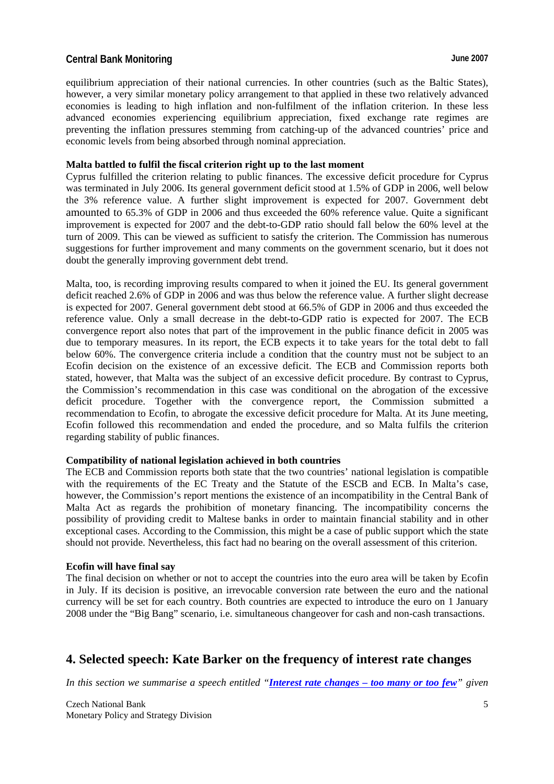equilibrium appreciation of their national currencies. In other countries (such as the Baltic States), however, a very similar monetary policy arrangement to that applied in these two relatively advanced economies is leading to high inflation and non-fulfilment of the inflation criterion. In these less advanced economies experiencing equilibrium appreciation, fixed exchange rate regimes are preventing the inflation pressures stemming from catching-up of the advanced countries' price and economic levels from being absorbed through nominal appreciation.

#### **Malta battled to fulfil the fiscal criterion right up to the last moment**

Cyprus fulfilled the criterion relating to public finances. The excessive deficit procedure for Cyprus was terminated in July 2006. Its general government deficit stood at 1.5% of GDP in 2006, well below the 3% reference value. A further slight improvement is expected for 2007. Government debt amounted to 65.3% of GDP in 2006 and thus exceeded the 60% reference value. Quite a significant improvement is expected for 2007 and the debt-to-GDP ratio should fall below the 60% level at the turn of 2009. This can be viewed as sufficient to satisfy the criterion. The Commission has numerous suggestions for further improvement and many comments on the government scenario, but it does not doubt the generally improving government debt trend.

Malta, too, is recording improving results compared to when it joined the EU. Its general government deficit reached 2.6% of GDP in 2006 and was thus below the reference value. A further slight decrease is expected for 2007. General government debt stood at 66.5% of GDP in 2006 and thus exceeded the reference value. Only a small decrease in the debt-to-GDP ratio is expected for 2007. The ECB convergence report also notes that part of the improvement in the public finance deficit in 2005 was due to temporary measures. In its report, the ECB expects it to take years for the total debt to fall below 60%. The convergence criteria include a condition that the country must not be subject to an Ecofin decision on the existence of an excessive deficit. The ECB and Commission reports both stated, however, that Malta was the subject of an excessive deficit procedure. By contrast to Cyprus, the Commission's recommendation in this case was conditional on the abrogation of the excessive deficit procedure. Together with the convergence report, the Commission submitted a recommendation to Ecofin, to abrogate the excessive deficit procedure for Malta. At its June meeting, Ecofin followed this recommendation and ended the procedure, and so Malta fulfils the criterion regarding stability of public finances.

#### **Compatibility of national legislation achieved in both countries**

The ECB and Commission reports both state that the two countries' national legislation is compatible with the requirements of the EC Treaty and the Statute of the ESCB and ECB. In Malta's case, however, the Commission's report mentions the existence of an incompatibility in the Central Bank of Malta Act as regards the prohibition of monetary financing. The incompatibility concerns the possibility of providing credit to Maltese banks in order to maintain financial stability and in other exceptional cases. According to the Commission, this might be a case of public support which the state should not provide. Nevertheless, this fact had no bearing on the overall assessment of this criterion.

#### **Ecofin will have final say**

The final decision on whether or not to accept the countries into the euro area will be taken by Ecofin in July. If its decision is positive, an irrevocable conversion rate between the euro and the national currency will be set for each country. Both countries are expected to introduce the euro on 1 January 2008 under the "Big Bang" scenario, i.e. simultaneous changeover for cash and non-cash transactions.

# **4. Selected speech: Kate Barker on the frequency of interest rate changes**

*In this section we summarise a speech entitled "[Interest rate changes – too many or too few](http://www.bankofengland.co.uk/publications/speeches/2007/speech305.pdf)" given*